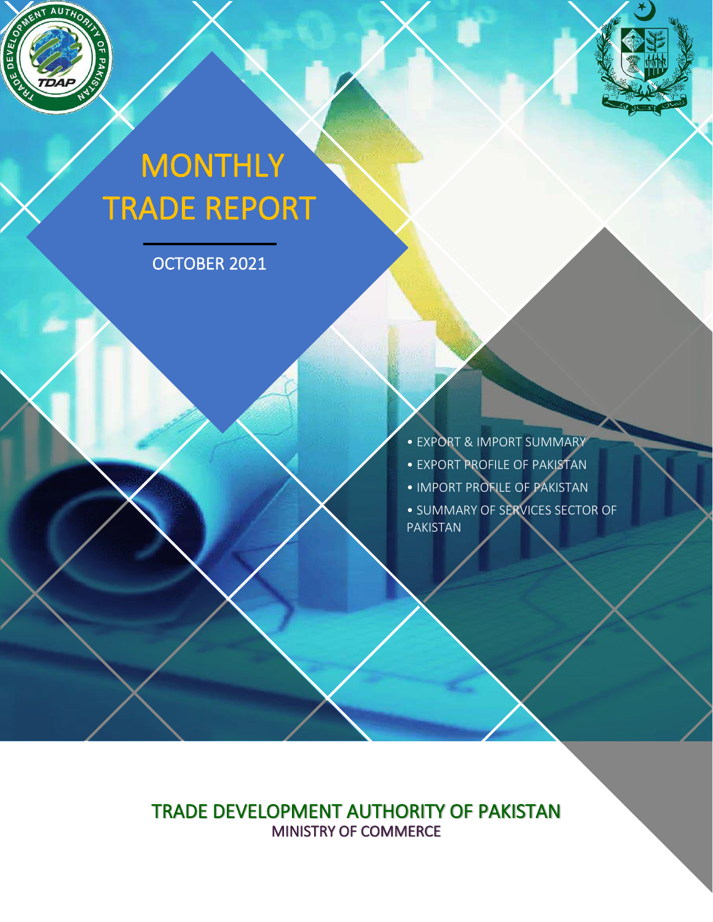

ì

# **MONTHLY** TRADE REPORT

OCTOBER 2021

• EXPORT & IMPORT SUMMARY • EXPORT PROFILE OF PAKISTAN • IMPORT PROFILE OF PAKISTAN • SUMMARY OF SERVICES SECTOR OF PAKISTAN

TRADE DEVELOPMENT AUTHORITY OF PAKISTAN MINISTRY OF COMMERCE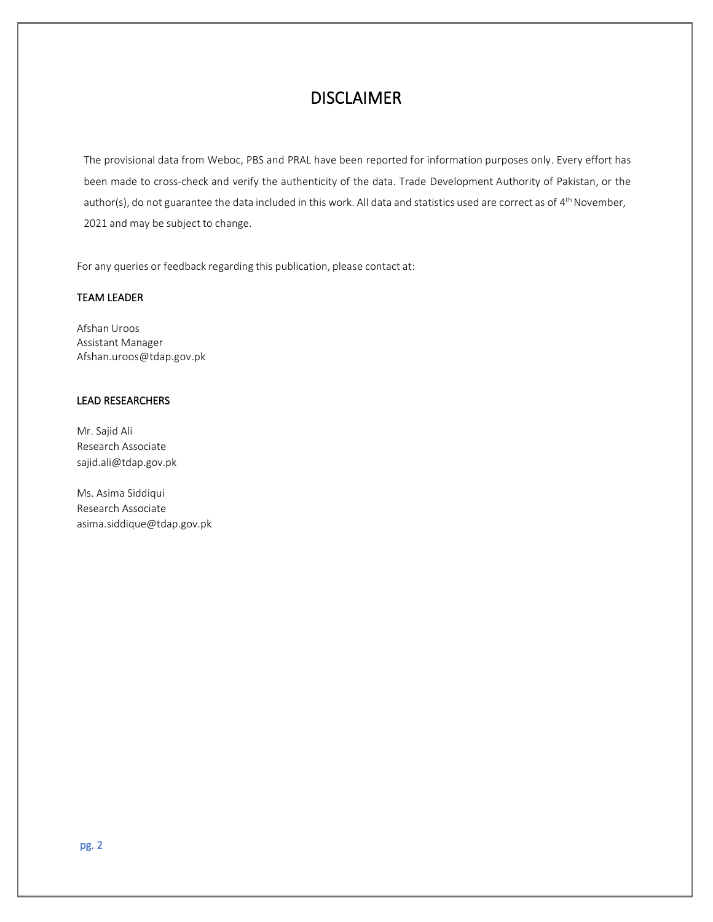### DISCLAIMER

The provisional data from Weboc, PBS and PRAL have been reported for information purposes only. Every effort has been made to cross-check and verify the authenticity of the data. Trade Development Authority of Pakistan, or the author(s), do not guarantee the data included in this work. All data and statistics used are correct as of 4<sup>th</sup> November, 2021 and may be subject to change.

For any queries or feedback regarding this publication, please contact at:

#### TEAM LEADER

Afshan Uroos Assistant Manager Afshan.uroos@tdap.gov.pk

#### LEAD RESEARCHERS

Mr. Sajid Ali Research Associate sajid.ali@tdap.gov.pk

Ms. Asima Siddiqui Research Associate asima.siddique@tdap.gov.pk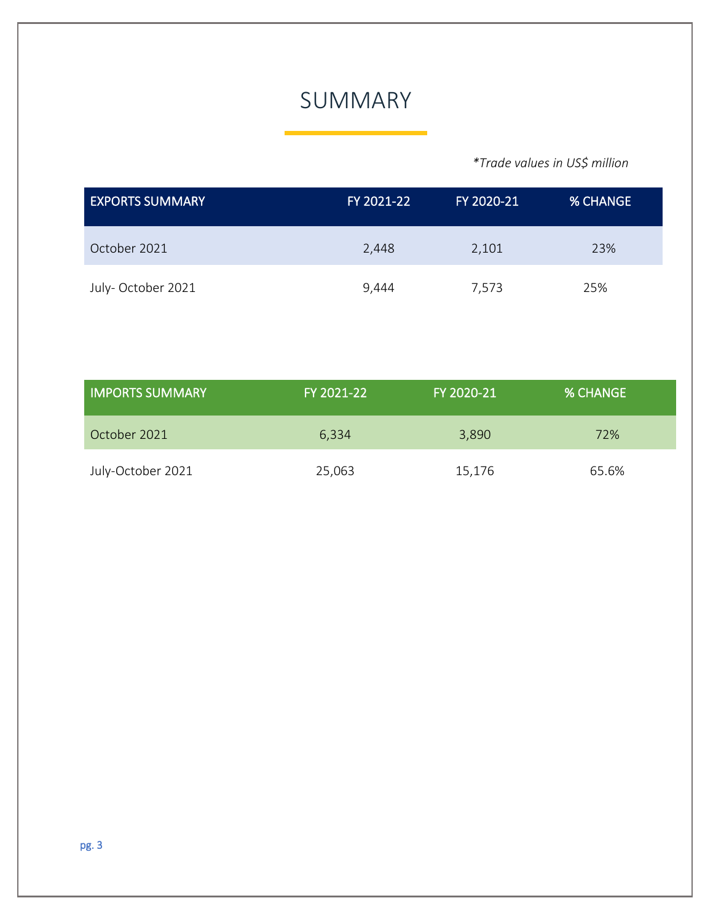# SUMMARY

#### *\*Trade values in US\$ million*

| <b>EXPORTS SUMMARY</b> | FY 2021-22 | FY 2020-21 | <b>% CHANGE</b> |
|------------------------|------------|------------|-----------------|
| October 2021           | 2,448      | 2,101      | 23%             |
| July-October 2021      | 9,444      | 7,573      | 25%             |

| <b>IMPORTS SUMMARY</b> | FY 2021-22 | FY 2020-21 | <b>% CHANGE</b> |  |
|------------------------|------------|------------|-----------------|--|
| October 2021           | 6,334      | 3,890      | 72%             |  |
| July-October 2021      | 25,063     | 15,176     | 65.6%           |  |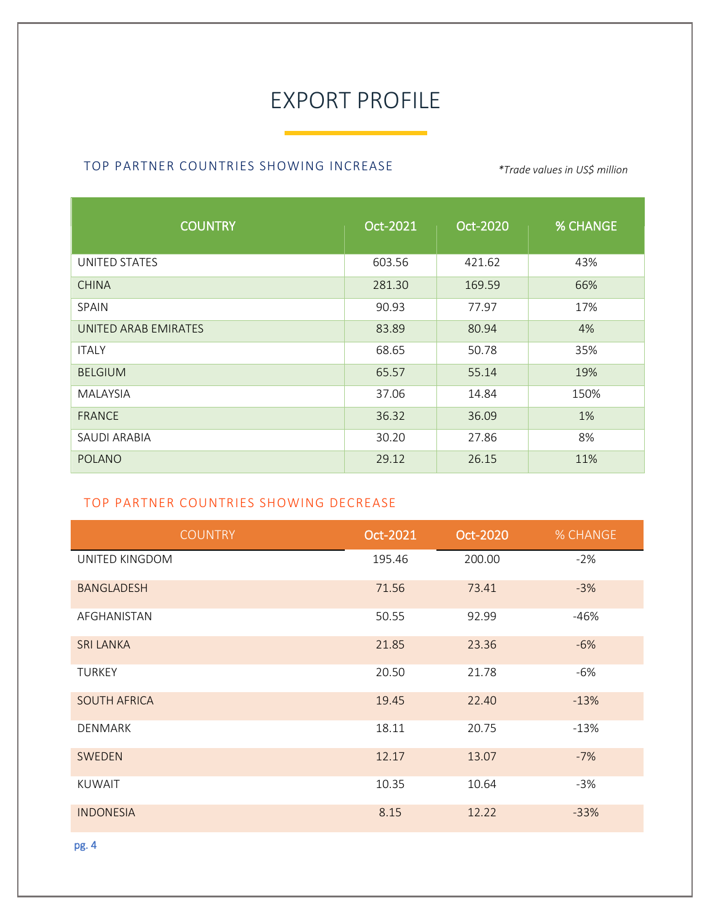# EXPORT PROFILE

#### TOP PARTNER COUNTRIES SHOWING INCREASE *\*Trade values in US\$ million*

| <b>COUNTRY</b>       | Oct-2021 | Oct-2020 | <b>% CHANGE</b> |
|----------------------|----------|----------|-----------------|
| UNITED STATES        | 603.56   | 421.62   | 43%             |
| <b>CHINA</b>         | 281.30   | 169.59   | 66%             |
| SPAIN                | 90.93    | 77.97    | 17%             |
| UNITED ARAB EMIRATES | 83.89    | 80.94    | 4%              |
| <b>ITALY</b>         | 68.65    | 50.78    | 35%             |
| <b>BELGIUM</b>       | 65.57    | 55.14    | 19%             |
| <b>MALAYSIA</b>      | 37.06    | 14.84    | 150%            |
| <b>FRANCE</b>        | 36.32    | 36.09    | 1%              |
| SAUDI ARABIA         | 30.20    | 27.86    | 8%              |
| <b>POLANO</b>        | 29.12    | 26.15    | 11%             |

#### TOP PARTNER COUNTRIES SHOWING DECREASE

| <b>COUNTRY</b>      | Oct-2021 | Oct-2020 | <b>% CHANGE</b> |
|---------------------|----------|----------|-----------------|
| UNITED KINGDOM      | 195.46   | 200.00   | $-2%$           |
| <b>BANGLADESH</b>   | 71.56    | 73.41    | $-3%$           |
| AFGHANISTAN         | 50.55    | 92.99    | $-46%$          |
| <b>SRI LANKA</b>    | 21.85    | 23.36    | $-6%$           |
| <b>TURKEY</b>       | 20.50    | 21.78    | $-6%$           |
| <b>SOUTH AFRICA</b> | 19.45    | 22.40    | $-13%$          |
| <b>DENMARK</b>      | 18.11    | 20.75    | $-13%$          |
| SWEDEN              | 12.17    | 13.07    | $-7%$           |
| <b>KUWAIT</b>       | 10.35    | 10.64    | $-3%$           |
| <b>INDONESIA</b>    | 8.15     | 12.22    | $-33%$          |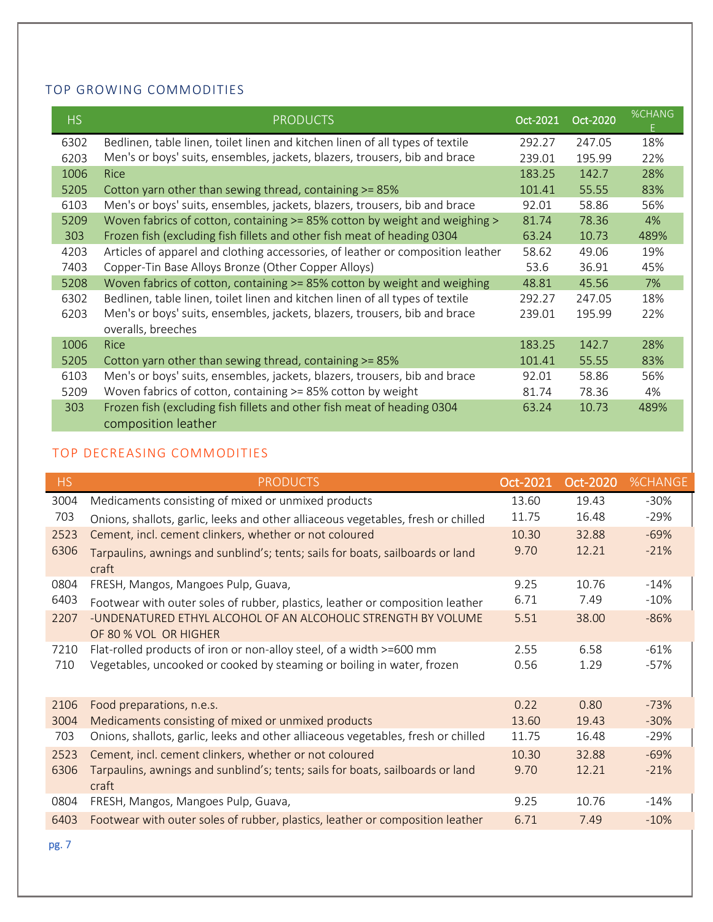#### TOP GROWING COMMODITIES

| <b>HS</b> | <b>PRODUCTS</b>                                                                                | Oct-2021 | Oct-2020 | <b>%CHANG</b> |
|-----------|------------------------------------------------------------------------------------------------|----------|----------|---------------|
| 6302      | Bedlinen, table linen, toilet linen and kitchen linen of all types of textile                  | 292.27   | 247.05   | 18%           |
| 6203      | Men's or boys' suits, ensembles, jackets, blazers, trousers, bib and brace                     | 239.01   | 195.99   | 22%           |
| 1006      | <b>Rice</b>                                                                                    | 183.25   | 142.7    | 28%           |
| 5205      | Cotton yarn other than sewing thread, containing >= 85%                                        | 101.41   | 55.55    | 83%           |
| 6103      | Men's or boys' suits, ensembles, jackets, blazers, trousers, bib and brace                     | 92.01    | 58.86    | 56%           |
| 5209      | Woven fabrics of cotton, containing >= 85% cotton by weight and weighing >                     | 81.74    | 78.36    | 4%            |
| 303       | Frozen fish (excluding fish fillets and other fish meat of heading 0304                        | 63.24    | 10.73    | 489%          |
| 4203      | Articles of apparel and clothing accessories, of leather or composition leather                | 58.62    | 49.06    | 19%           |
| 7403      | Copper-Tin Base Alloys Bronze (Other Copper Alloys)                                            | 53.6     | 36.91    | 45%           |
| 5208      | Woven fabrics of cotton, containing >= 85% cotton by weight and weighing                       | 48.81    | 45.56    | 7%            |
| 6302      | Bedlinen, table linen, toilet linen and kitchen linen of all types of textile                  | 292.27   | 247.05   | 18%           |
| 6203      | Men's or boys' suits, ensembles, jackets, blazers, trousers, bib and brace                     | 239.01   | 195.99   | 22%           |
|           | overalls, breeches                                                                             |          |          |               |
| 1006      | <b>Rice</b>                                                                                    | 183.25   | 142.7    | 28%           |
| 5205      | Cotton yarn other than sewing thread, containing >= 85%                                        | 101.41   | 55.55    | 83%           |
| 6103      | Men's or boys' suits, ensembles, jackets, blazers, trousers, bib and brace                     | 92.01    | 58.86    | 56%           |
| 5209      | Woven fabrics of cotton, containing >= 85% cotton by weight                                    | 81.74    | 78.36    | 4%            |
| 303       | Frozen fish (excluding fish fillets and other fish meat of heading 0304<br>composition leather | 63.24    | 10.73    | 489%          |

#### TOP DECREASING COMMODITIES

| <b>HS</b> | <b>PRODUCTS</b>                                                                         | Oct-2021 | Oct-2020 | <b>%CHANGE</b> |
|-----------|-----------------------------------------------------------------------------------------|----------|----------|----------------|
| 3004      | Medicaments consisting of mixed or unmixed products                                     | 13.60    | 19.43    | $-30%$         |
| 703       | Onions, shallots, garlic, leeks and other alliaceous vegetables, fresh or chilled       | 11.75    | 16.48    | $-29%$         |
| 2523      | Cement, incl. cement clinkers, whether or not coloured                                  | 10.30    | 32.88    | $-69%$         |
| 6306      | Tarpaulins, awnings and sunblind's; tents; sails for boats, sailboards or land<br>craft | 9.70     | 12.21    | $-21%$         |
| 0804      | FRESH, Mangos, Mangoes Pulp, Guava,                                                     | 9.25     | 10.76    | $-14%$         |
| 6403      | Footwear with outer soles of rubber, plastics, leather or composition leather           | 6.71     | 7.49     | $-10%$         |
| 2207      | -UNDENATURED ETHYL ALCOHOL OF AN ALCOHOLIC STRENGTH BY VOLUME<br>OF 80 % VOL OR HIGHER  | 5.51     | 38.00    | $-86%$         |
| 7210      | Flat-rolled products of iron or non-alloy steel, of a width >=600 mm                    | 2.55     | 6.58     | $-61%$         |
| 710       | Vegetables, uncooked or cooked by steaming or boiling in water, frozen                  | 0.56     | 1.29     | -57%           |
| 2106      | Food preparations, n.e.s.                                                               | 0.22     | 0.80     | $-73%$         |
| 3004      | Medicaments consisting of mixed or unmixed products                                     | 13.60    | 19.43    | $-30%$         |
| 703       | Onions, shallots, garlic, leeks and other alliaceous vegetables, fresh or chilled       | 11.75    | 16.48    | $-29%$         |
| 2523      | Cement, incl. cement clinkers, whether or not coloured                                  | 10.30    | 32.88    | $-69%$         |
| 6306      | Tarpaulins, awnings and sunblind's; tents; sails for boats, sailboards or land<br>craft | 9.70     | 12.21    | $-21%$         |
| 0804      | FRESH, Mangos, Mangoes Pulp, Guava,                                                     | 9.25     | 10.76    | $-14%$         |
| 6403      | Footwear with outer soles of rubber, plastics, leather or composition leather           | 6.71     | 7.49     | $-10%$         |

pg. 7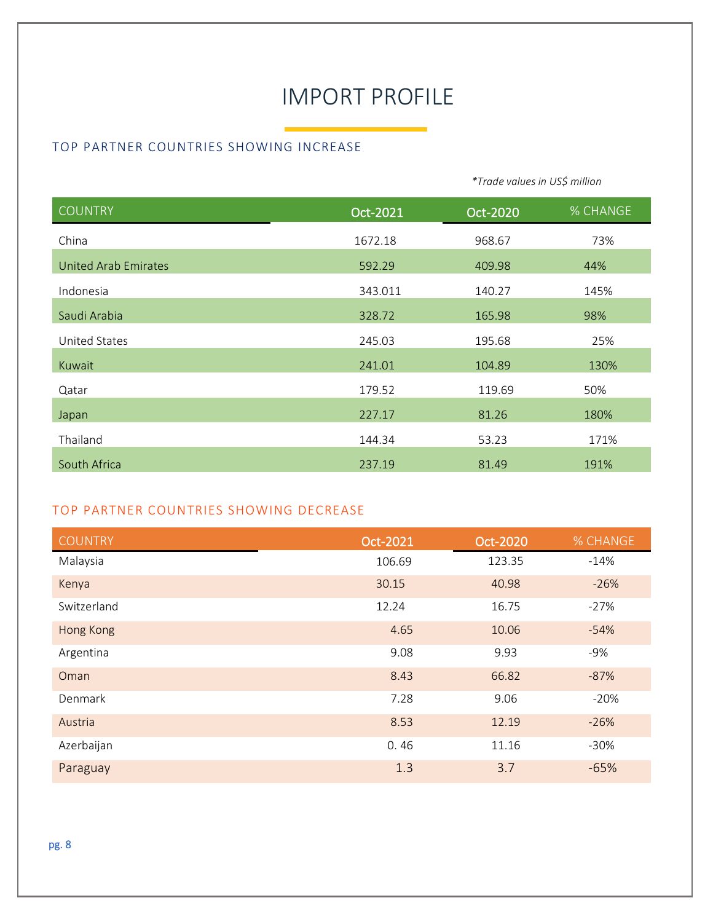# IMPORT PROFILE

*\*Trade values in US\$ million*

#### TOP PARTNER COUNTRIES SHOWING INCREASE

| <b>COUNTRY</b>       | Oct-2021 | Oct-2020 | % CHANGE |
|----------------------|----------|----------|----------|
| China                | 1672.18  | 968.67   | 73%      |
| United Arab Emirates | 592.29   | 409.98   | 44%      |
| Indonesia            | 343.011  | 140.27   | 145%     |
| Saudi Arabia         | 328.72   | 165.98   | 98%      |
| <b>United States</b> | 245.03   | 195.68   | 25%      |
| Kuwait               | 241.01   | 104.89   | 130%     |
| Qatar                | 179.52   | 119.69   | 50%      |
| Japan                | 227.17   | 81.26    | 180%     |
| Thailand             | 144.34   | 53.23    | 171%     |
| South Africa         | 237.19   | 81.49    | 191%     |

#### TOP PARTNER COUNTRIES SHOWING DECREASE

| <b>COUNTRY</b> | Oct-2021 | Oct-2020 | % CHANGE |
|----------------|----------|----------|----------|
| Malaysia       | 106.69   | 123.35   | $-14%$   |
| Kenya          | 30.15    | 40.98    | $-26%$   |
| Switzerland    | 12.24    | 16.75    | $-27%$   |
| Hong Kong      | 4.65     | 10.06    | $-54%$   |
| Argentina      | 9.08     | 9.93     | $-9%$    |
| Oman           | 8.43     | 66.82    | $-87%$   |
| Denmark        | 7.28     | 9.06     | $-20%$   |
| Austria        | 8.53     | 12.19    | $-26%$   |
| Azerbaijan     | 0.46     | 11.16    | $-30%$   |
| Paraguay       | 1.3      | 3.7      | $-65%$   |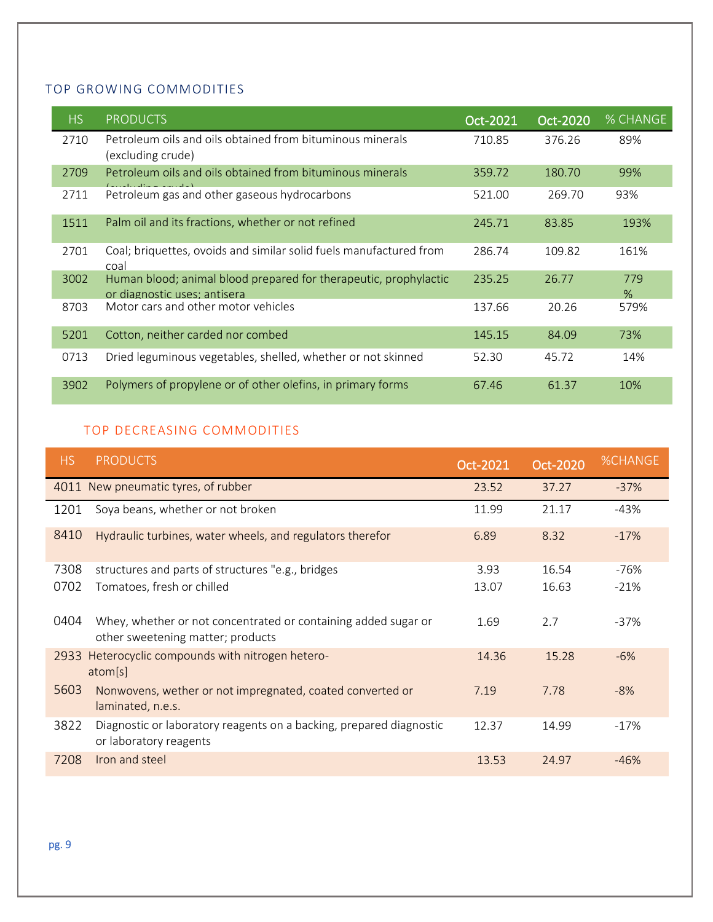#### TOP GROWING COMMODITIES

| HS.  | <b>PRODUCTS</b>                                                                                  | Oct-2021 | Oct-2020 | % CHANGE    |
|------|--------------------------------------------------------------------------------------------------|----------|----------|-------------|
| 2710 | Petroleum oils and oils obtained from bituminous minerals<br>(excluding crude)                   | 710.85   | 376.26   | 89%         |
| 2709 | Petroleum oils and oils obtained from bituminous minerals                                        | 359.72   | 180.70   | 99%         |
| 2711 | Petroleum gas and other gaseous hydrocarbons                                                     | 521.00   | 269.70   | 93%         |
| 1511 | Palm oil and its fractions, whether or not refined                                               | 245.71   | 83.85    | 193%        |
| 2701 | Coal; briquettes, ovoids and similar solid fuels manufactured from<br>coal                       | 286.74   | 109.82   | 161%        |
| 3002 | Human blood; animal blood prepared for therapeutic, prophylactic<br>or diagnostic uses: antisera | 235.25   | 26.77    | 779<br>$\%$ |
| 8703 | Motor cars and other motor vehicles                                                              | 137.66   | 20.26    | 579%        |
| 5201 | Cotton, neither carded nor combed                                                                | 145.15   | 84.09    | 73%         |
| 0713 | Dried leguminous vegetables, shelled, whether or not skinned                                     | 52.30    | 45.72    | 14%         |
| 3902 | Polymers of propylene or of other olefins, in primary forms                                      | 67.46    | 61.37    | 10%         |

### TOP DECREASING COMMODITIES

| HS.  | <b>PRODUCTS</b>                                                                                     | Oct-2021 | Oct-2020 | <b>%CHANGE</b> |
|------|-----------------------------------------------------------------------------------------------------|----------|----------|----------------|
| 4011 | New pneumatic tyres, of rubber                                                                      | 23.52    | 37.27    | $-37%$         |
| 1201 | Soya beans, whether or not broken                                                                   | 11.99    | 21.17    | $-43%$         |
| 8410 | Hydraulic turbines, water wheels, and regulators therefor                                           | 6.89     | 8.32     | $-17%$         |
| 7308 | structures and parts of structures "e.g., bridges                                                   | 3.93     | 16.54    | -76%           |
| 0702 | Tomatoes, fresh or chilled                                                                          | 13.07    | 16.63    | $-21%$         |
| 0404 | Whey, whether or not concentrated or containing added sugar or<br>other sweetening matter; products | 1.69     | 2.7      | $-37%$         |
| 2933 | Heterocyclic compounds with nitrogen hetero-<br>atom[s]                                             | 14.36    | 15.28    | $-6%$          |
| 5603 | Nonwovens, wether or not impregnated, coated converted or<br>laminated, n.e.s.                      | 7.19     | 7.78     | $-8%$          |
| 3822 | Diagnostic or laboratory reagents on a backing, prepared diagnostic<br>or laboratory reagents       | 12.37    | 14.99    | $-17%$         |
| 7208 | Iron and steel                                                                                      | 13.53    | 24.97    | $-46%$         |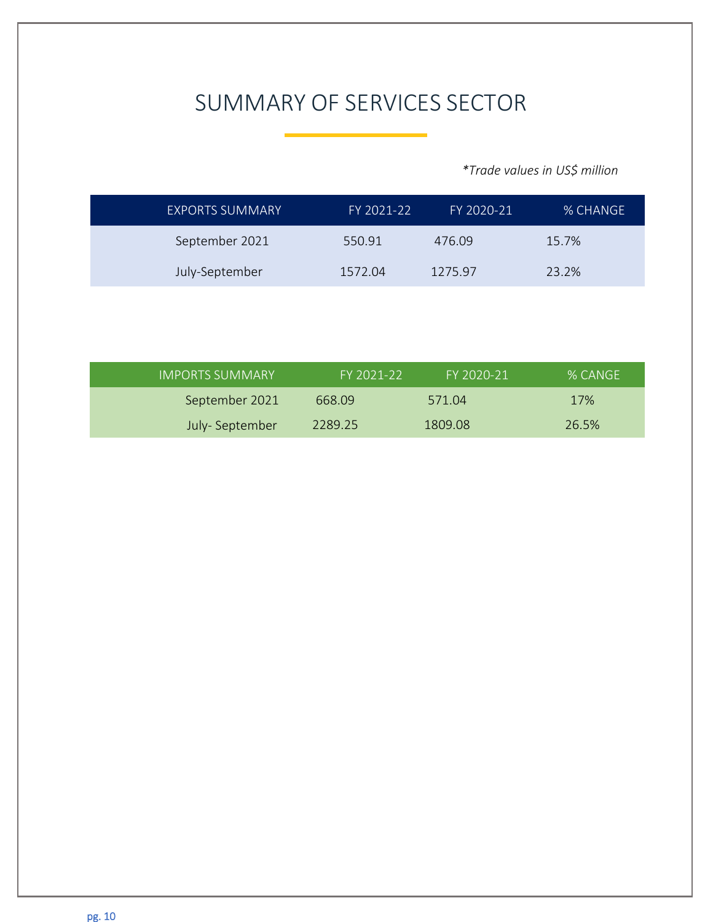# SUMMARY OF SERVICES SECTOR

*\*Trade values in US\$ million*

| <b>EXPORTS SUMMARY</b> | FY 2021-22 | FY 2020-21 | % CHANGE |
|------------------------|------------|------------|----------|
| September 2021         | 550.91     | 476.09     | 15.7%    |
| July-September         | 1572.04    | 1275.97    | 23.2%    |

| <b>IMPORTS SUMMARY</b> | FY 2021-22 | FY 2020-21 | % CANGE |
|------------------------|------------|------------|---------|
| September 2021         | 668.09     | 571.04     | 17%     |
| July-September         | 2289.25    | 1809.08    | 26.5%   |